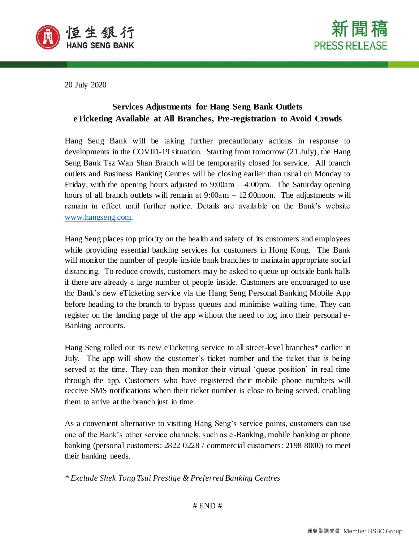



20 July 2020

# **Services Adjustments for Hang Seng Bank Outlets eTicketing Available at All Branches, Pre-registration to Avoid Crowds**

Hang Seng Bank will be taking further precautionary actions in response to developments in the COVID-19 situation. Starting from tomorrow (21 July), the Hang Seng Bank Tsz Wan Shan Branch will be temporarily closed for service. All branch outlets and Business Banking Centres will be closing earlier than usual on Monday to Friday, with the opening hours adjusted to  $9:00$ am  $-4:00$ pm. The Saturday opening hours of all branch outlets will remain at  $9:00am - 12:00$  noon. The adjustments will remain in effect until further notice. Details are available on the Bank's website [www.hangseng.com.](../../45087219/AppData/Local/Microsoft/Windows/INetCache/Content.Outlook/XTHCA557/www.hangseng.com)

Hang Seng places top priority on the health and safety of its customers and employees while providing essential banking services for customers in Hong Kong. The Bank will monitor the number of people inside bank branches to maintain appropriate social distancing. To reduce crowds, customers may be asked to queue up outside bank halls if there are already a large number of people inside. Customers are encouraged to use the Bank's new eTicketing service via the Hang Seng Personal Banking Mobile App before heading to the branch to bypass queues and minimise waiting time. They can register on the landing page of the app without the need to log into their personal e-Banking accounts.

Hang Seng rolled out its new eTicketing service to all street-level branches\* earlier in July. The app will show the customer's ticket number and the ticket that is being served at the time. They can then monitor their virtual 'queue position' in real time through the app. Customers who have registered their mobile phone numbers will receive SMS notifications when their ticket number is close to being served, enabling them to arrive at the branch just in time.

As a convenient alternative to visiting Hang Seng's service points, customers can use one of the Bank's other service channels, such as e-Banking, mobile banking or phone banking (personal customers: 2822 0228 / commercial customers: 2198 8000) to meet their banking needs.

*\* Exclude Shek Tong Tsui Prestige & Preferred Banking Centres*

 $#$  END  $#$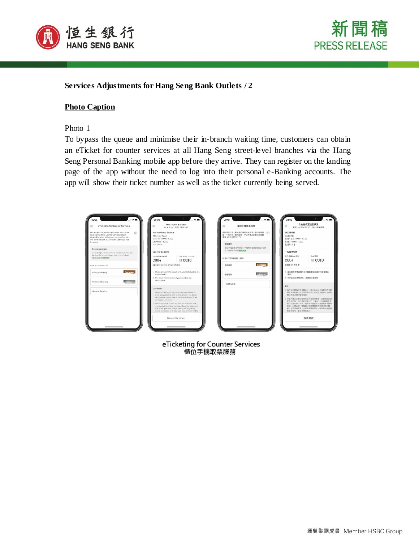



# **Services Adjustments for Hang Seng Bank Outlets / 2**

## **Photo Caption**

#### Photo 1

To bypass the queue and minimise their in-branch waiting time, customers can obtain an eTicket for counter services at all Hang Seng street-level branches via the Hang Seng Personal Banking mobile app before they arrive. They can register on the landing page of the app without the need to log into their personal e-Banking accounts. The app will show their ticket number as well as the ticket currently being served.

| Ξ<br>eTicketing for Counter Services                                                                                                                                                                                  | Your Ticket & Status<br>≡<br>As at 01 Apr 2020, 09:09 HKT                                                                                                                                                                   | Ξ      | 模位手機取票服務                                                                   | 你的輪侯票號及狀況<br>Ξ<br>数至2020年04月01日 - 09:09 香港時間               |                                                                                    |  |
|-----------------------------------------------------------------------------------------------------------------------------------------------------------------------------------------------------------------------|-----------------------------------------------------------------------------------------------------------------------------------------------------------------------------------------------------------------------------|--------|----------------------------------------------------------------------------|------------------------------------------------------------|------------------------------------------------------------------------------------|--|
| Get a ticket in advance for Counter Services to<br>(2)<br>save waiting time. Counter Services include<br>General Deposit, Withdrawal, Account Transfer<br>and Time Deposit, etc (Account Opening is not<br>included). | Hankow Road Branch<br>4 Hankow Road<br>Mon - Fri: 09:00 - 17:00<br>Sat: 09:00 - 12:00                                                                                                                                       | 提样提示   | 连距预先取票,節皆植位摧務等候時間。横位服務包<br>(2)<br>技:一般存款、提款服務·戶口轉接及定期存款服務<br>等等(不包括锁立户口) - | 漢口媒分行<br>運口道は<br>程期一至五:09:00 - 17:00<br>星期六: 09:00 - 12:00 |                                                                                    |  |
| Service reminder                                                                                                                                                                                                      | Sun: Close                                                                                                                                                                                                                  |        | 福位手機取票局预将於分行管单時間結束前30分隔停                                                   | 岸期日;休息                                                     |                                                                                    |  |
| eTicketing Counter Services will stop 30 minutes                                                                                                                                                                      | <b>General Banking</b>                                                                                                                                                                                                      |        | 止。西看更多拍制服務資訊。                                                              |                                                            | 一般銀行服務                                                                             |  |
| before the branch closes. Learn more about<br>service information.                                                                                                                                                    | Last ticket served<br>Your ticket number<br>C <sub>004</sub><br>■ C010                                                                                                                                                      |        | 我是以下超行服務之客戶                                                                | 现正成现中的常疑<br>C <sub>004</sub>                               | costs hand.<br>$\equiv$ C010                                                       |  |
| I am a customer of                                                                                                                                                                                                    | 5 people waiting ahead of you                                                                                                                                                                                               | 侵越理财   | <b>PRESTIGE</b>                                                            | 前面有5人等候中                                                   |                                                                                    |  |
| <b>PRESTIGE</b><br>Prestige Banking                                                                                                                                                                                   | 1. Please arrive at the branch with your ticket within the<br>service hours.                                                                                                                                                | 侵蚀现时   | Prefsurd.                                                                  | 1. 精胶壁等時間內集固你的輪像需被抵连分行袋理模位<br>解释:                          |                                                                                    |  |
| Prefacred.<br><b>Preferred Banking</b>                                                                                                                                                                                | 2. The ticket will be voided if your number has<br>been called.                                                                                                                                                             |        | 2. 若你的精悦素魅己過, 語葉號將書無效。                                                     |                                                            |                                                                                    |  |
|                                                                                                                                                                                                                       |                                                                                                                                                                                                                             | 一般銀行服務 |                                                                            | 發扬:                                                        |                                                                                    |  |
| General Banking                                                                                                                                                                                                       | Disclaimer:<br>1. The Bank may at its discretion decide whether to<br>serve any customer who cannot present the tidest                                                                                                      |        |                                                                            | 建决定是否投供有限现在-                                               | 1. 客户若到建指定领生结行分行後未能出示于提择式内有限<br>取票申請的確認指示或手機短訊以作調別及驗證,本行有                          |  |
|                                                                                                                                                                                                                       | information upon arrival at the selected branch for<br>verification purpose.                                                                                                                                                |        |                                                                            |                                                            | 2. 本質所關示之種位輪候狀況均為實時數據, 並會接固定時<br>開白動車術·慎生調行有限公司 ("本行") 對加訊情送過                      |  |
|                                                                                                                                                                                                                       | 2. The information shown is based on real-time and<br>refreshed at fixed interval. Hang Seng Bank Limited<br>(the "Bank") will not accept liability for any delay,<br>errors, omissions or failure associated with the SMS. |        |                                                                            | 经将的福利,若曾须事报请知。                                             | 程之任何延誤·韻誤·读遍或未经發出,無論差否因病感<br>朝鮮、毛統放線、電話律放眼器或被第三方事項症状推<br>数。范不承接責任,本行保留精神更改。暂停及結束有關 |  |
|                                                                                                                                                                                                                       | Cancel the ticket                                                                                                                                                                                                           |        |                                                                            |                                                            | 取消票號                                                                               |  |

eTicketing for Counter Services 櫃位手機取票服務